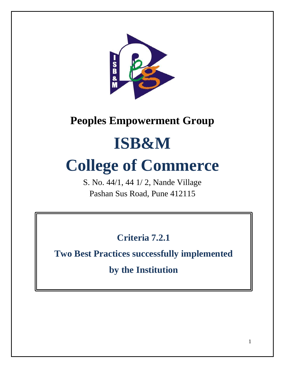

# **Peoples Empowerment Group**

# **ISB&M**

# **College of Commerce**

S. No. 44/1, 44 1/ 2, Nande Village Pashan Sus Road, Pune 412115

**Criteria 7.2.1**

**Two Best Practices successfully implemented** 

**by the Institution**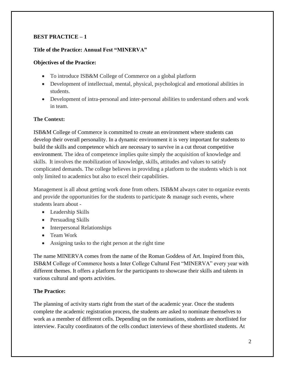# **BEST PRACTICE – 1**

# **Title of the Practice: Annual Fest "MINERVA"**

# **Objectives of the Practice:**

- To introduce ISB&M College of Commerce on a global platform
- Development of intellectual, mental, physical, psychological and emotional abilities in students.
- Development of intra-personal and inter-personal abilities to understand others and work in team.

# **The Context:**

ISB&M College of Commerce is committed to create an environment where students can develop their overall personality. In a dynamic environment it is very important for students to build the skills and competence which are necessary to survive in a cut throat competitive environment. The idea of competence implies quite simply the acquisition of knowledge and skills. It involves the mobilization of knowledge, skills, attitudes and values to satisfy complicated demands. The college believes in providing a platform to the students which is not only limited to academics but also to excel their capabilities.

Management is all about getting work done from others. ISB&M always cater to organize events and provide the opportunities for the students to participate  $\&$  manage such events, where students learn about -

- Leadership Skills
- Persuading Skills
- Interpersonal Relationships
- Team Work
- Assigning tasks to the right person at the right time

The name MINERVA comes from the name of the Roman Goddess of Art. Inspired from this, ISB&M College of Commerce hosts a Inter College Cultural Fest "MINERVA" every year with different themes. It offers a platform for the participants to showcase their skills and talents in various cultural and sports activities.

# **The Practice:**

The planning of activity starts right from the start of the academic year. Once the students complete the academic registration process, the students are asked to nominate themselves to work as a member of different cells. Depending on the nominations, students are shortlisted for interview. Faculty coordinators of the cells conduct interviews of these shortlisted students. At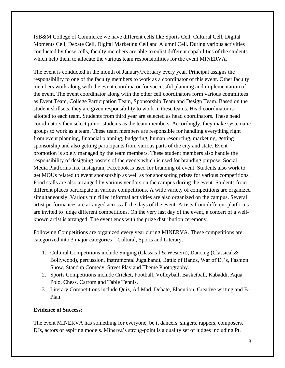ISB&M College of Commerce we have different cells like Sports Cell, Cultural Cell, Digital Moments Cell, Debate Cell, Digital Marketing Cell and Alumni Cell. During various activities conducted by these cells, faculty members are able to enlist different capabilities of the students which help them to allocate the various team responsibilities for the event MINERVA.

The event is conducted in the month of January/February every year. Principal assigns the responsibility to one of the faculty members to work as a coordinator of this event. Other faculty members work along with the event coordinator for successful planning and implementation of the event. The event coordinator along with the other cell coordinators form various committees as Event Team, College Participation Team, Sponsorship Team and Design Team. Based on the student skillsets, they are given responsibility to work in these teams. Head coordinator is allotted to each team. Students from third year are selected as head coordinators. These head coordinators then select junior students as the team members. Accordingly, they make systematic groups to work as a team. These team members are responsible for handling everything right from event planning, financial planning, budgeting, human resourcing, marketing, getting sponsorship and also getting participants from various parts of the city and state. Event promotion is solely managed by the team members. These student members also handle the responsibility of designing posters of the events which is used for branding purpose. Social Media Platforms like Instagram, Facebook is used for branding of event. Students also work to get MOUs related to event sponsorship as well as for sponsoring prizes for various competitions. Food stalls are also arranged by various vendors on the campus during the event. Students from different places participate in various competitions. A wide variety of competitions are organized simultaneously. Various fun filled informal activities are also organized on the campus. Several artist performances are arranged across all the days of the event. Artists from different platforms are invited to judge different competitions. On the very last day of the event, a concert of a wellknown artist is arranged. The event ends with the prize distribution ceremony.

Following Competitions are organized every year during MINERVA. These competitions are categorized into 3 major categories – Cultural, Sports and Literary.

- 1. Cultural Competitions include Singing (Classical & Western), Dancing (Classical & Bollywood), percussion, Instrumental Jugalbandi, Battle of Bands, War of DJ's, Fashion Show, Standup Comedy, Street Play and Theme Photography.
- 2. Sports Competitions include Cricket, Football, Volleyball, Basketball, Kabaddi, Aqua Polo, Chess, Carrom and Table Tennis.
- 3. Literary Competitions include Quiz, Ad Mad, Debate, Elocution, Creative writing and B-Plan.

# **Evidence of Success:**

The event MINERVA has something for everyone, be it dancers, singers, rappers, composers, DJs, actors or aspiring models. Minerva's strong-point is a quality set of judges including Pt.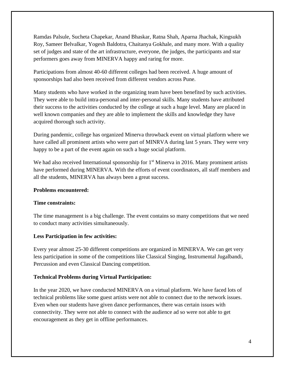Ramdas Palsule, Sucheta Chapekar, Anand Bhaskar, Ratna Shah, Aparna Jhachak, Kingsukh Roy, Sameer Belvalkar, Yogesh Baldotra, Chaitanya Gokhale, and many more. With a quality set of judges and state of the art infrastructure, everyone, the judges, the participants and star performers goes away from MINERVA happy and raring for more.

Participations from almost 40-60 different colleges had been received. A huge amount of sponsorships had also been received from different vendors across Pune.

Many students who have worked in the organizing team have been benefited by such activities. They were able to build intra-personal and inter-personal skills. Many students have attributed their success to the activities conducted by the college at such a huge level. Many are placed in well known companies and they are able to implement the skills and knowledge they have acquired thorough such activity.

During pandemic, college has organized Minerva throwback event on virtual platform where we have called all prominent artists who were part of MINRVA during last 5 years. They were very happy to be a part of the event again on such a huge social platform.

We had also received International sponsorship for  $1<sup>st</sup>$  Minerva in 2016. Many prominent artists have performed during MINERVA. With the efforts of event coordinators, all staff members and all the students, MINERVA has always been a great success.

# **Problems encountered:**

# **Time constraints:**

The time management is a big challenge. The event contains so many competitions that we need to conduct many activities simultaneously.

# **Less Participation in few activities:**

Every year almost 25-30 different competitions are organized in MINERVA. We can get very less participation in some of the competitions like Classical Singing, Instrumental Jugalbandi, Percussion and even Classical Dancing competition.

#### **Technical Problems during Virtual Participation:**

In the year 2020, we have conducted MINERVA on a virtual platform. We have faced lots of technical problems like some guest artists were not able to connect due to the network issues. Even when our students have given dance performances, there was certain issues with connectivity. They were not able to connect with the audience ad so were not able to get encouragement as they get in offline performances.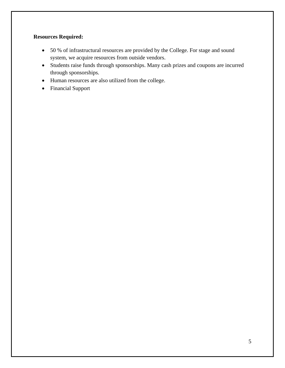# **Resources Required:**

- 50 % of infrastructural resources are provided by the College. For stage and sound system, we acquire resources from outside vendors.
- Students raise funds through sponsorships. Many cash prizes and coupons are incurred through sponsorships.
- Human resources are also utilized from the college.
- Financial Support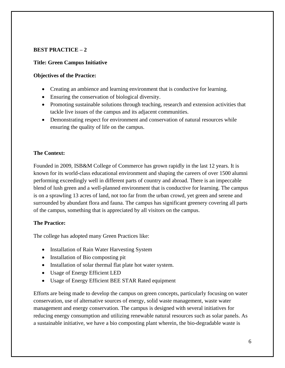# **BEST PRACTICE – 2**

# **Title: Green Campus Initiative**

# **Objectives of the Practice:**

- Creating an ambience and learning environment that is conductive for learning.
- Ensuring the conservation of biological diversity.
- Promoting sustainable solutions through teaching, research and extension activities that tackle live issues of the campus and its adjacent communities.
- Demonstrating respect for environment and conservation of natural resources while ensuring the quality of life on the campus.

# **The Context:**

Founded in 2009, ISB&M College of Commerce has grown rapidly in the last 12 years. It is known for its world-class educational environment and shaping the careers of over 1500 alumni performing exceedingly well in different parts of country and abroad. There is an impeccable blend of lush green and a well-planned environment that is conductive for learning. The campus is on a sprawling 13 acres of land, not too far from the urban crowd, yet green and serene and surrounded by abundant flora and fauna. The campus has significant greenery covering all parts of the campus, something that is appreciated by all visitors on the campus.

# **The Practice:**

The college has adopted many Green Practices like:

- Installation of Rain Water Harvesting System
- Installation of Bio composting pit
- Installation of solar thermal flat plate hot water system.
- Usage of Energy Efficient LED
- Usage of Energy Efficient BEE STAR Rated equipment

Efforts are being made to develop the campus on green concepts, particularly focusing on water conservation, use of alternative sources of energy, solid waste management, waste water management and energy conservation. The campus is designed with several initiatives for reducing energy consumption and utilizing renewable natural resources such as solar panels. As a sustainable initiative, we have a bio composting plant wherein, the bio-degradable waste is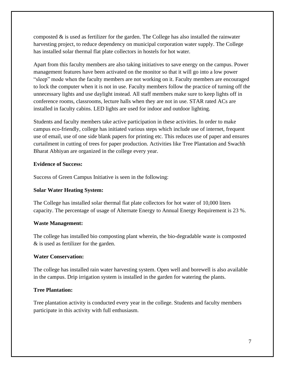composted  $\&$  is used as fertilizer for the garden. The College has also installed the rainwater harvesting project, to reduce dependency on municipal corporation water supply. The College has installed solar thermal flat plate collectors in hostels for hot water.

Apart from this faculty members are also taking initiatives to save energy on the campus. Power management features have been activated on the monitor so that it will go into a low power "sleep" mode when the faculty members are not working on it. Faculty members are encouraged to lock the computer when it is not in use. Faculty members follow the practice of turning off the unnecessary lights and use daylight instead. All staff members make sure to keep lights off in conference rooms, classrooms, lecture halls when they are not in use. STAR rated ACs are installed in faculty cabins. LED lights are used for indoor and outdoor lighting.

Students and faculty members take active participation in these activities. In order to make campus eco-friendly, college has initiated various steps which include use of internet, frequent use of email, use of one side blank papers for printing etc. This reduces use of paper and ensures curtailment in cutting of trees for paper production. Activities like Tree Plantation and Swachh Bharat Abhiyan are organized in the college every year.

#### **Evidence of Success:**

Success of Green Campus Initiative is seen in the following:

# **Solar Water Heating System:**

The College has installed solar thermal flat plate collectors for hot water of 10,000 liters capacity. The percentage of usage of Alternate Energy to Annual Energy Requirement is 23 %.

# **Waste Management:**

The college has installed bio composting plant wherein, the bio-degradable waste is composted & is used as fertilizer for the garden.

# **Water Conservation:**

The college has installed rain water harvesting system. Open well and borewell is also available in the campus. Drip irrigation system is installed in the garden for watering the plants.

# **Tree Plantation:**

Tree plantation activity is conducted every year in the college. Students and faculty members participate in this activity with full enthusiasm.